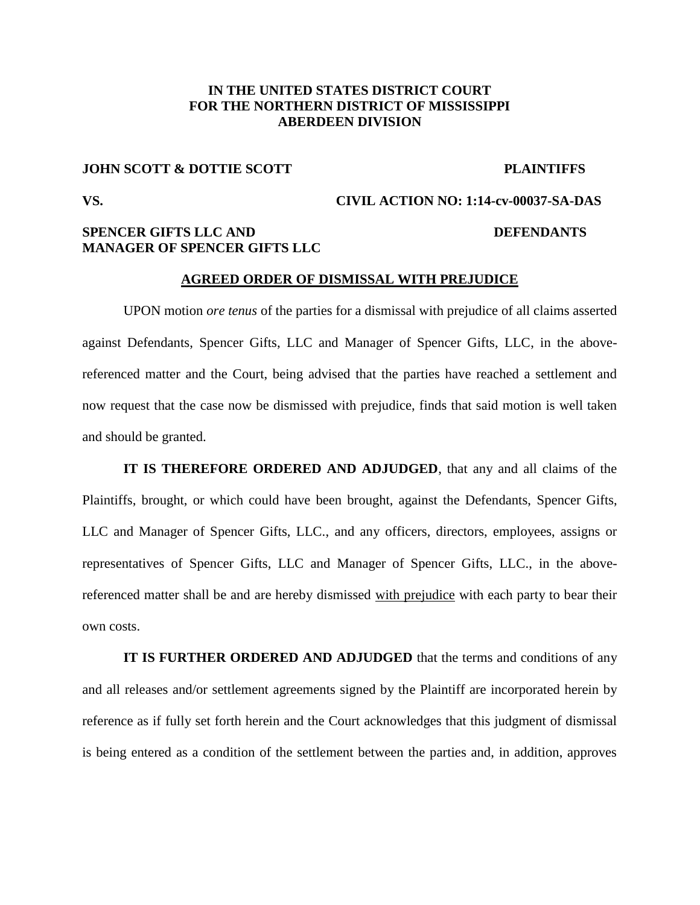## **IN THE UNITED STATES DISTRICT COURT FOR THE NORTHERN DISTRICT OF MISSISSIPPI ABERDEEN DIVISION**

# **JOHN SCOTT & DOTTIE SCOTT** PLAINTIFFS

# **VS. CIVIL ACTION NO: 1:14-cv-00037-SA-DAS SPENCER GIFTS LLC AND DEFENDANTS MANAGER OF SPENCER GIFTS LLC**

### **AGREED ORDER OF DISMISSAL WITH PREJUDICE**

UPON motion *ore tenus* of the parties for a dismissal with prejudice of all claims asserted against Defendants, Spencer Gifts, LLC and Manager of Spencer Gifts, LLC, in the abovereferenced matter and the Court, being advised that the parties have reached a settlement and now request that the case now be dismissed with prejudice, finds that said motion is well taken and should be granted.

**IT IS THEREFORE ORDERED AND ADJUDGED**, that any and all claims of the Plaintiffs, brought, or which could have been brought, against the Defendants, Spencer Gifts, LLC and Manager of Spencer Gifts, LLC., and any officers, directors, employees, assigns or representatives of Spencer Gifts, LLC and Manager of Spencer Gifts, LLC., in the abovereferenced matter shall be and are hereby dismissed with prejudice with each party to bear their own costs.

**IT IS FURTHER ORDERED AND ADJUDGED** that the terms and conditions of any and all releases and/or settlement agreements signed by the Plaintiff are incorporated herein by reference as if fully set forth herein and the Court acknowledges that this judgment of dismissal is being entered as a condition of the settlement between the parties and, in addition, approves